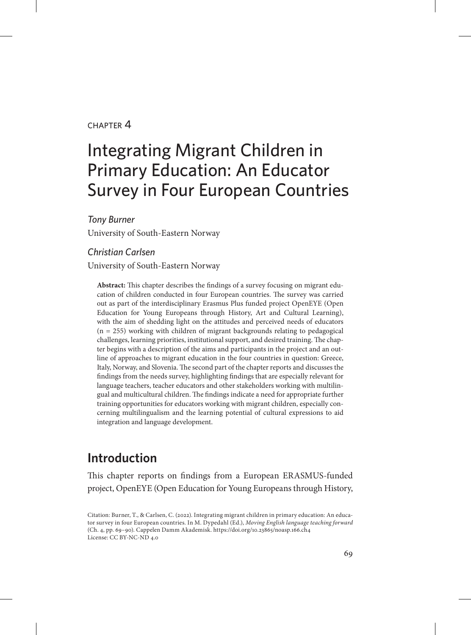#### $CHAPTER$  $4$

# Integrating Migrant Children in Primary Education: An Educator Survey in Four European Countries

*Tony Burner*

University of South-Eastern Norway

#### *Christian Carlsen*

University of South-Eastern Norway

**Abstract:** This chapter describes the findings of a survey focusing on migrant education of children conducted in four European countries. The survey was carried out as part of the interdisciplinary Erasmus Plus funded project OpenEYE (Open Education for Young Europeans through History, Art and Cultural Learning), with the aim of shedding light on the attitudes and perceived needs of educators (n = 255) working with children of migrant backgrounds relating to pedagogical challenges, learning priorities, institutional support, and desired training. The chapter begins with a description of the aims and participants in the project and an outline of approaches to migrant education in the four countries in question: Greece, Italy, Norway, and Slovenia. The second part of the chapter reports and discusses the findings from the needs survey, highlighting findings that are especially relevant for language teachers, teacher educators and other stakeholders working with multilingual and multicultural children. The findings indicate a need for appropriate further training opportunities for educators working with migrant children, especially concerning multilingualism and the learning potential of cultural expressions to aid integration and language development.

# **Introduction**

This chapter reports on findings from a European ERASMUS-funded project, OpenEYE (Open Education for Young Europeans through History,

Citation: Burner, T., & Carlsen, C. (2022). Integrating migrant children in primary education: An educator survey in four European countries. In M. Dypedahl (Ed.), *Moving English language teaching forward*  (Ch. 4, pp. 69–90). Cappelen Damm Akademisk. https://doi.org/10.23865/noasp.166.ch4 License: CC BY-NC-ND 4.0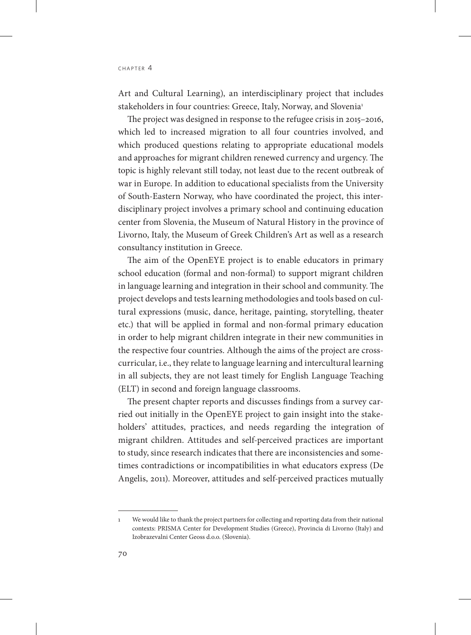Art and Cultural Learning), an interdisciplinary project that includes stakeholders in four countries: Greece, Italy, Norway, and Slovenia<sup>1</sup>

The project was designed in response to the refugee crisis in 2015–2016, which led to increased migration to all four countries involved, and which produced questions relating to appropriate educational models and approaches for migrant children renewed currency and urgency. The topic is highly relevant still today, not least due to the recent outbreak of war in Europe. In addition to educational specialists from the University of South-Eastern Norway, who have coordinated the project, this interdisciplinary project involves a primary school and continuing education center from Slovenia, the Museum of Natural History in the province of Livorno, Italy, the Museum of Greek Children's Art as well as a research consultancy institution in Greece.

The aim of the OpenEYE project is to enable educators in primary school education (formal and non-formal) to support migrant children in language learning and integration in their school and community. The project develops and tests learning methodologies and tools based on cultural expressions (music, dance, heritage, painting, storytelling, theater etc.) that will be applied in formal and non-formal primary education in order to help migrant children integrate in their new communities in the respective four countries. Although the aims of the project are crosscurricular, i.e., they relate to language learning and intercultural learning in all subjects, they are not least timely for English Language Teaching (ELT) in second and foreign language classrooms.

The present chapter reports and discusses findings from a survey carried out initially in the OpenEYE project to gain insight into the stakeholders' attitudes, practices, and needs regarding the integration of migrant children. Attitudes and self-perceived practices are important to study, since research indicates that there are inconsistencies and sometimes contradictions or incompatibilities in what educators express (De Angelis, 2011). Moreover, attitudes and self-perceived practices mutually

<sup>1</sup> We would like to thank the project partners for collecting and reporting data from their national contexts: PRISMA Center for Development Studies (Greece), Provincia di Livorno (Italy) and Izobrazevalni Center Geoss d.o.o. (Slovenia).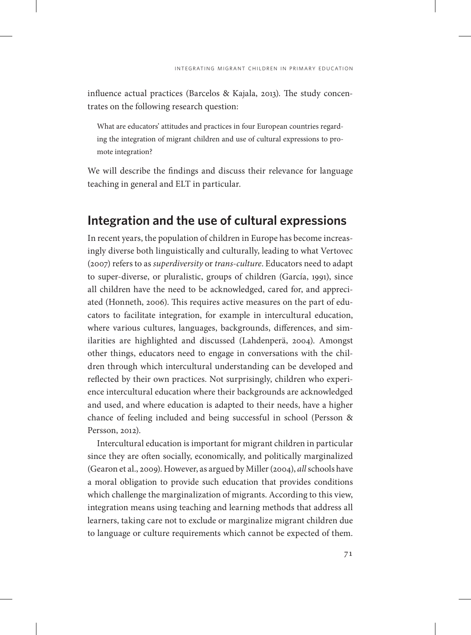influence actual practices (Barcelos & Kajala, 2013). The study concentrates on the following research question:

What are educators' attitudes and practices in four European countries regarding the integration of migrant children and use of cultural expressions to promote integration?

We will describe the findings and discuss their relevance for language teaching in general and ELT in particular.

## **Integration and the use of cultural expressions**

In recent years, the population of children in Europe has become increasingly diverse both linguistically and culturally, leading to what Vertovec (2007) refers to as *superdiversity* or *trans-culture*. Educators need to adapt to super-diverse, or pluralistic, groups of children (García, 1991), since all children have the need to be acknowledged, cared for, and appreciated (Honneth, 2006). This requires active measures on the part of educators to facilitate integration, for example in intercultural education, where various cultures, languages, backgrounds, differences, and similarities are highlighted and discussed (Lahdenperä, 2004). Amongst other things, educators need to engage in conversations with the children through which intercultural understanding can be developed and reflected by their own practices. Not surprisingly, children who experience intercultural education where their backgrounds are acknowledged and used, and where education is adapted to their needs, have a higher chance of feeling included and being successful in school (Persson & Persson, 2012).

Intercultural education is important for migrant children in particular since they are often socially, economically, and politically marginalized (Gearon et al., 2009). However, as argued by Miller (2004), *all* schools have a moral obligation to provide such education that provides conditions which challenge the marginalization of migrants. According to this view, integration means using teaching and learning methods that address all learners, taking care not to exclude or marginalize migrant children due to language or culture requirements which cannot be expected of them.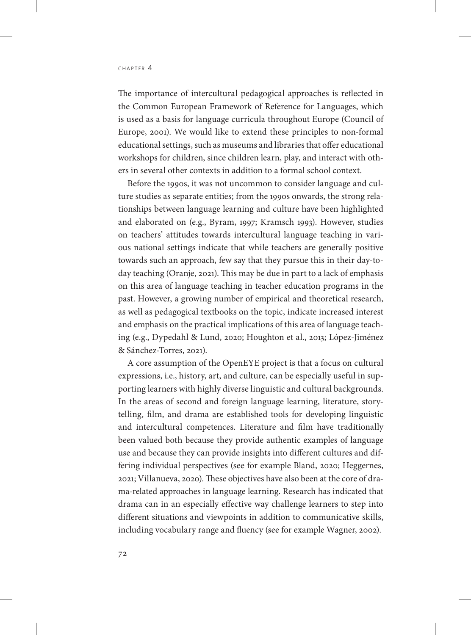The importance of intercultural pedagogical approaches is reflected in the Common European Framework of Reference for Languages, which is used as a basis for language curricula throughout Europe (Council of Europe, 2001). We would like to extend these principles to non-formal educational settings, such as museums and libraries that offer educational workshops for children, since children learn, play, and interact with others in several other contexts in addition to a formal school context.

Before the 1990s, it was not uncommon to consider language and culture studies as separate entities; from the 1990s onwards, the strong relationships between language learning and culture have been highlighted and elaborated on (e.g., Byram, 1997; Kramsch 1993). However, studies on teachers' attitudes towards intercultural language teaching in various national settings indicate that while teachers are generally positive towards such an approach, few say that they pursue this in their day-today teaching (Oranje, 2021). This may be due in part to a lack of emphasis on this area of language teaching in teacher education programs in the past. However, a growing number of empirical and theoretical research, as well as pedagogical textbooks on the topic, indicate increased interest and emphasis on the practical implications of this area of language teaching (e.g., Dypedahl & Lund, 2020; Houghton et al., 2013; López-Jiménez & Sánchez-Torres, 2021).

A core assumption of the OpenEYE project is that a focus on cultural expressions, i.e., history, art, and culture, can be especially useful in supporting learners with highly diverse linguistic and cultural backgrounds. In the areas of second and foreign language learning, literature, storytelling, film, and drama are established tools for developing linguistic and intercultural competences. Literature and film have traditionally been valued both because they provide authentic examples of language use and because they can provide insights into different cultures and differing individual perspectives (see for example Bland, 2020; Heggernes, 2021; Villanueva, 2020). These objectives have also been at the core of drama-related approaches in language learning. Research has indicated that drama can in an especially effective way challenge learners to step into different situations and viewpoints in addition to communicative skills, including vocabulary range and fluency (see for example Wagner, 2002).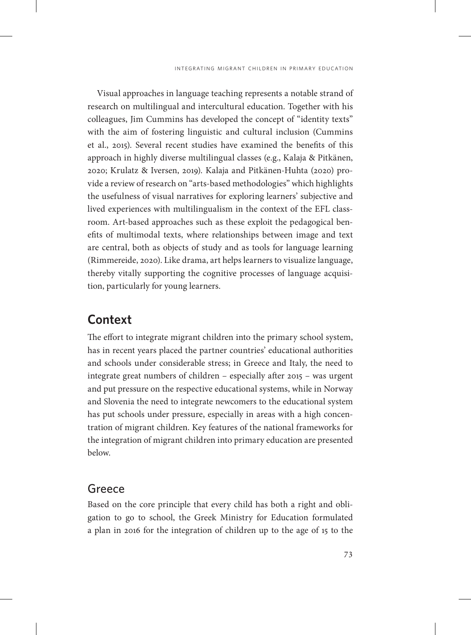Visual approaches in language teaching represents a notable strand of research on multilingual and intercultural education. Together with his colleagues, Jim Cummins has developed the concept of "identity texts" with the aim of fostering linguistic and cultural inclusion (Cummins et al., 2015). Several recent studies have examined the benefits of this approach in highly diverse multilingual classes (e.g., Kalaja & Pitkänen, 2020; Krulatz & Iversen, 2019). Kalaja and Pitkänen-Huhta (2020) provide a review of research on "arts-based methodologies" which highlights the usefulness of visual narratives for exploring learners' subjective and lived experiences with multilingualism in the context of the EFL classroom. Art-based approaches such as these exploit the pedagogical benefits of multimodal texts, where relationships between image and text are central, both as objects of study and as tools for language learning (Rimmereide, 2020). Like drama, art helps learners to visualize language, thereby vitally supporting the cognitive processes of language acquisition, particularly for young learners.

# **Context**

The effort to integrate migrant children into the primary school system, has in recent years placed the partner countries' educational authorities and schools under considerable stress; in Greece and Italy, the need to integrate great numbers of children – especially after 2015 – was urgent and put pressure on the respective educational systems, while in Norway and Slovenia the need to integrate newcomers to the educational system has put schools under pressure, especially in areas with a high concentration of migrant children. Key features of the national frameworks for the integration of migrant children into primary education are presented below.

#### Greece

Based on the core principle that every child has both a right and obligation to go to school, the Greek Ministry for Education formulated a plan in 2016 for the integration of children up to the age of 15 to the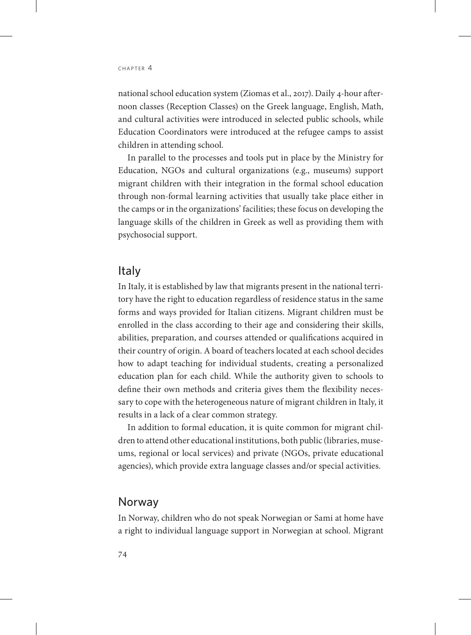national school education system (Ziomas et al., 2017). Daily 4-hour afternoon classes (Reception Classes) on the Greek language, English, Math, and cultural activities were introduced in selected public schools, while Education Coordinators were introduced at the refugee camps to assist children in attending school.

In parallel to the processes and tools put in place by the Ministry for Education, NGOs and cultural organizations (e.g., museums) support migrant children with their integration in the formal school education through non-formal learning activities that usually take place either in the camps or in the organizations' facilities; these focus on developing the language skills of the children in Greek as well as providing them with psychosocial support.

#### Italy

In Italy, it is established by law that migrants present in the national territory have the right to education regardless of residence status in the same forms and ways provided for Italian citizens. Migrant children must be enrolled in the class according to their age and considering their skills, abilities, preparation, and courses attended or qualifications acquired in their country of origin. A board of teachers located at each school decides how to adapt teaching for individual students, creating a personalized education plan for each child. While the authority given to schools to define their own methods and criteria gives them the flexibility necessary to cope with the heterogeneous nature of migrant children in Italy, it results in a lack of a clear common strategy.

In addition to formal education, it is quite common for migrant children to attend other educational institutions, both public (libraries, museums, regional or local services) and private (NGOs, private educational agencies), which provide extra language classes and/or special activities.

#### Norway

In Norway, children who do not speak Norwegian or Sami at home have a right to individual language support in Norwegian at school. Migrant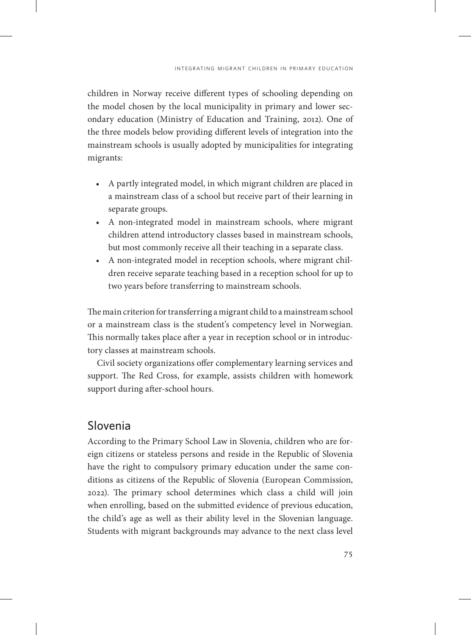children in Norway receive different types of schooling depending on the model chosen by the local municipality in primary and lower secondary education (Ministry of Education and Training, 2012). One of the three models below providing different levels of integration into the mainstream schools is usually adopted by municipalities for integrating migrants:

- A partly integrated model, in which migrant children are placed in a mainstream class of a school but receive part of their learning in separate groups.
- A non-integrated model in mainstream schools, where migrant children attend introductory classes based in mainstream schools, but most commonly receive all their teaching in a separate class.
- A non-integrated model in reception schools, where migrant children receive separate teaching based in a reception school for up to two years before transferring to mainstream schools.

The main criterion for transferring a migrant child to a mainstream school or a mainstream class is the student's competency level in Norwegian. This normally takes place after a year in reception school or in introductory classes at mainstream schools.

Civil society organizations offer complementary learning services and support. The Red Cross, for example, assists children with homework support during after-school hours.

## Slovenia

According to the Primary School Law in Slovenia, children who are foreign citizens or stateless persons and reside in the Republic of Slovenia have the right to compulsory primary education under the same conditions as citizens of the Republic of Slovenia (European Commission, 2022). The primary school determines which class a child will join when enrolling, based on the submitted evidence of previous education, the child's age as well as their ability level in the Slovenian language. Students with migrant backgrounds may advance to the next class level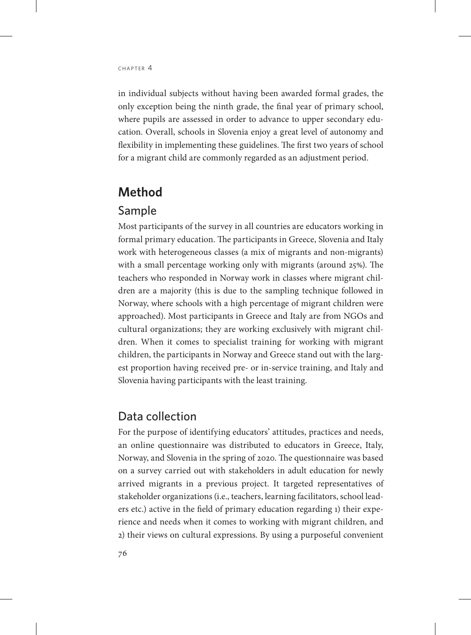in individual subjects without having been awarded formal grades, the only exception being the ninth grade, the final year of primary school, where pupils are assessed in order to advance to upper secondary education. Overall, schools in Slovenia enjoy a great level of autonomy and flexibility in implementing these guidelines. The first two years of school for a migrant child are commonly regarded as an adjustment period.

## **Method**

#### Sample

Most participants of the survey in all countries are educators working in formal primary education. The participants in Greece, Slovenia and Italy work with heterogeneous classes (a mix of migrants and non-migrants) with a small percentage working only with migrants (around 25%). The teachers who responded in Norway work in classes where migrant children are a majority (this is due to the sampling technique followed in Norway, where schools with a high percentage of migrant children were approached). Most participants in Greece and Italy are from NGOs and cultural organizations; they are working exclusively with migrant children. When it comes to specialist training for working with migrant children, the participants in Norway and Greece stand out with the largest proportion having received pre- or in-service training, and Italy and Slovenia having participants with the least training.

## Data collection

For the purpose of identifying educators' attitudes, practices and needs, an online questionnaire was distributed to educators in Greece, Italy, Norway, and Slovenia in the spring of 2020. The questionnaire was based on a survey carried out with stakeholders in adult education for newly arrived migrants in a previous project. It targeted representatives of stakeholder organizations (i.e., teachers, learning facilitators, school leaders etc.) active in the field of primary education regarding 1) their experience and needs when it comes to working with migrant children, and 2) their views on cultural expressions. By using a purposeful convenient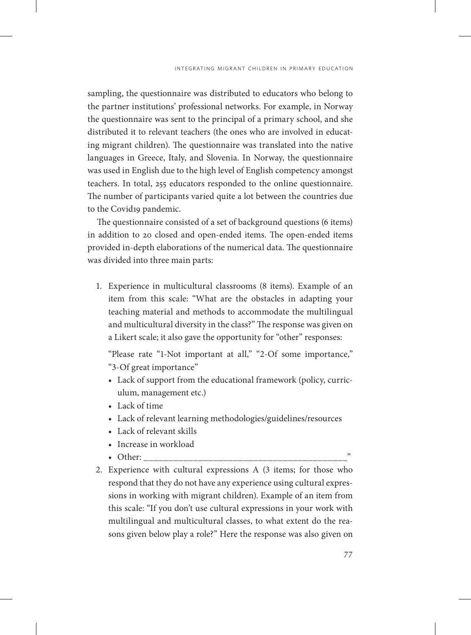sampling, the questionnaire was distributed to educators who belong to the partner institutions' professional networks. For example, in Norway the questionnaire was sent to the principal of a primary school, and she distributed it to relevant teachers (the ones who are involved in educating migrant children). The questionnaire was translated into the native languages in Greece, Italy, and Slovenia. In Norway, the questionnaire was used in English due to the high level of English competency amongst teachers. In total, 255 educators responded to the online questionnaire. The number of participants varied quite a lot between the countries due to the Covid19 pandemic.

The questionnaire consisted of a set of background questions (6 items) in addition to 20 closed and open-ended items. The open-ended items provided in-depth elaborations of the numerical data. The questionnaire was divided into three main parts:

1. Experience in multicultural classrooms (8 items). Example of an item from this scale: "What are the obstacles in adapting your teaching material and methods to accommodate the multilingual and multicultural diversity in the class?" The response was given on a Likert scale; it also gave the opportunity for "other" responses:

"Please rate "1-Not important at all," "2-Of some importance," "3-Of great importance"

- Lack of support from the educational framework (policy, curriculum, management etc.)
- Lack of time
- Lack of relevant learning methodologies/guidelines/resources
- Lack of relevant skills
- Increase in workload
- Other:
- 2. Experience with cultural expressions A (3 items; for those who respond that they do not have any experience using cultural expressions in working with migrant children). Example of an item from this scale: "If you don't use cultural expressions in your work with multilingual and multicultural classes, to what extent do the reasons given below play a role?" Here the response was also given on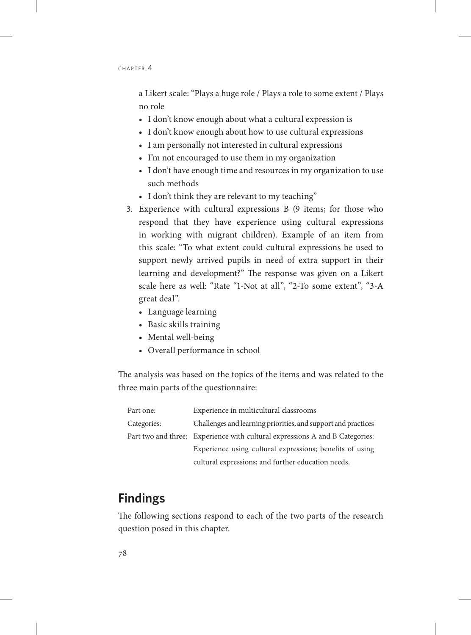a Likert scale: "Plays a huge role / Plays a role to some extent / Plays no role

- I don't know enough about what a cultural expression is
- I don't know enough about how to use cultural expressions
- I am personally not interested in cultural expressions
- I'm not encouraged to use them in my organization
- I don't have enough time and resources in my organization to use such methods
- I don't think they are relevant to my teaching"
- 3. Experience with cultural expressions B (9 items; for those who respond that they have experience using cultural expressions in working with migrant children). Example of an item from this scale: "To what extent could cultural expressions be used to support newly arrived pupils in need of extra support in their learning and development?" The response was given on a Likert scale here as well: "Rate "1-Not at all", "2-To some extent", "3-A great deal".
	- Language learning
	- Basic skills training
	- Mental well-being
	- Overall performance in school

The analysis was based on the topics of the items and was related to the three main parts of the questionnaire:

| Part one:   | Experience in multicultural classrooms                                       |
|-------------|------------------------------------------------------------------------------|
| Categories: | Challenges and learning priorities, and support and practices                |
|             | Part two and three: Experience with cultural expressions A and B Categories: |
|             | Experience using cultural expressions; benefits of using                     |
|             | cultural expressions; and further education needs.                           |

# **Findings**

The following sections respond to each of the two parts of the research question posed in this chapter.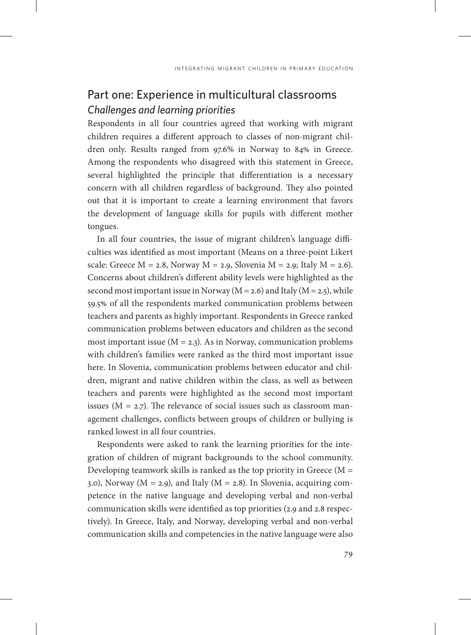# Part one: Experience in multicultural classrooms *Challenges and learning priorities*

Respondents in all four countries agreed that working with migrant children requires a different approach to classes of non-migrant children only. Results ranged from 97.6% in Norway to 84% in Greece. Among the respondents who disagreed with this statement in Greece, several highlighted the principle that differentiation is a necessary concern with all children regardless of background. They also pointed out that it is important to create a learning environment that favors the development of language skills for pupils with different mother tongues.

In all four countries, the issue of migrant children's language difficulties was identified as most important (Means on a three-point Likert scale: Greece  $M = 2.8$ , Norway  $M = 2.9$ , Slovenia  $M = 2.9$ ; Italy  $M = 2.6$ ). Concerns about children's different ability levels were highlighted as the second most important issue in Norway ( $M = 2.6$ ) and Italy ( $M = 2.5$ ), while 59.5% of all the respondents marked communication problems between teachers and parents as highly important. Respondents in Greece ranked communication problems between educators and children as the second most important issue ( $M = 2.3$ ). As in Norway, communication problems with children's families were ranked as the third most important issue here. In Slovenia, communication problems between educator and children, migrant and native children within the class, as well as between teachers and parents were highlighted as the second most important issues ( $M = 2.7$ ). The relevance of social issues such as classroom management challenges, conflicts between groups of children or bullying is ranked lowest in all four countries.

Respondents were asked to rank the learning priorities for the integration of children of migrant backgrounds to the school community. Developing teamwork skills is ranked as the top priority in Greece (M = 3.0), Norway ( $M = 2.9$ ), and Italy ( $M = 2.8$ ). In Slovenia, acquiring competence in the native language and developing verbal and non-verbal communication skills were identified as top priorities (2.9 and 2.8 respectively). In Greece, Italy, and Norway, developing verbal and non-verbal communication skills and competencies in the native language were also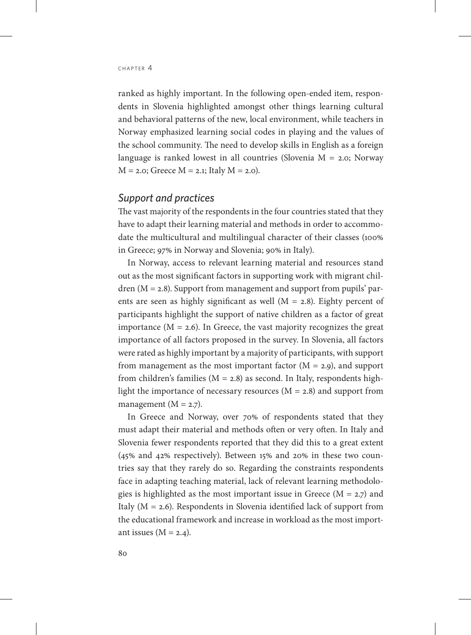ranked as highly important. In the following open-ended item, respondents in Slovenia highlighted amongst other things learning cultural and behavioral patterns of the new, local environment, while teachers in Norway emphasized learning social codes in playing and the values of the school community. The need to develop skills in English as a foreign language is ranked lowest in all countries (Slovenia  $M = 2.0$ ; Norway  $M = 2.0$ ; Greece  $M = 2.1$ ; Italy  $M = 2.0$ ).

#### *Support and practices*

The vast majority of the respondents in the four countries stated that they have to adapt their learning material and methods in order to accommodate the multicultural and multilingual character of their classes (100% in Greece; 97% in Norway and Slovenia; 90% in Italy).

In Norway, access to relevant learning material and resources stand out as the most significant factors in supporting work with migrant chil $dren (M = 2.8)$ . Support from management and support from pupils' parents are seen as highly significant as well  $(M = 2.8)$ . Eighty percent of participants highlight the support of native children as a factor of great importance  $(M = 2.6)$ . In Greece, the vast majority recognizes the great importance of all factors proposed in the survey. In Slovenia, all factors were rated as highly important by a majority of participants, with support from management as the most important factor  $(M = 2.9)$ , and support from children's families ( $M = 2.8$ ) as second. In Italy, respondents highlight the importance of necessary resources  $(M = 2.8)$  and support from management  $(M = 2.7)$ .

In Greece and Norway, over 70% of respondents stated that they must adapt their material and methods often or very often. In Italy and Slovenia fewer respondents reported that they did this to a great extent (45% and 42% respectively). Between 15% and 20% in these two countries say that they rarely do so. Regarding the constraints respondents face in adapting teaching material, lack of relevant learning methodologies is highlighted as the most important issue in Greece ( $M = 2.7$ ) and Italy  $(M = 2.6)$ . Respondents in Slovenia identified lack of support from the educational framework and increase in workload as the most important issues  $(M = 2.4)$ .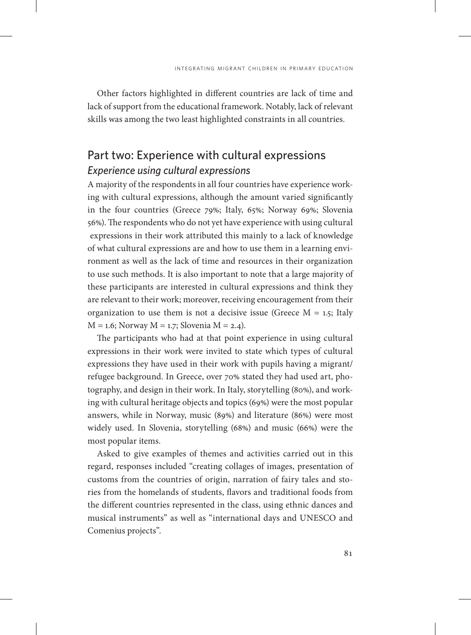Other factors highlighted in different countries are lack of time and lack of support from the educational framework. Notably, lack of relevant skills was among the two least highlighted constraints in all countries.

## Part two: Experience with cultural expressions *Experience using cultural expressions*

A majority of the respondents in all four countries have experience working with cultural expressions, although the amount varied significantly in the four countries (Greece 79%; Italy, 65%; Norway 69%; Slovenia 56%). The respondents who do not yet have experience with using cultural expressions in their work attributed this mainly to a lack of knowledge of what cultural expressions are and how to use them in a learning environment as well as the lack of time and resources in their organization to use such methods. It is also important to note that a large majority of these participants are interested in cultural expressions and think they are relevant to their work; moreover, receiving encouragement from their organization to use them is not a decisive issue (Greece  $M = 1.5$ ; Italy  $M = 1.6$ ; Norway  $M = 1.7$ ; Slovenia  $M = 2.4$ ).

The participants who had at that point experience in using cultural expressions in their work were invited to state which types of cultural expressions they have used in their work with pupils having a migrant/ refugee background. In Greece, over 70% stated they had used art, photography, and design in their work. In Italy, storytelling (80%), and working with cultural heritage objects and topics (69%) were the most popular answers, while in Norway, music (89%) and literature (86%) were most widely used. In Slovenia, storytelling (68%) and music (66%) were the most popular items.

Asked to give examples of themes and activities carried out in this regard, responses included "creating collages of images, presentation of customs from the countries of origin, narration of fairy tales and stories from the homelands of students, flavors and traditional foods from the different countries represented in the class, using ethnic dances and musical instruments" as well as "international days and UNESCO and Comenius projects".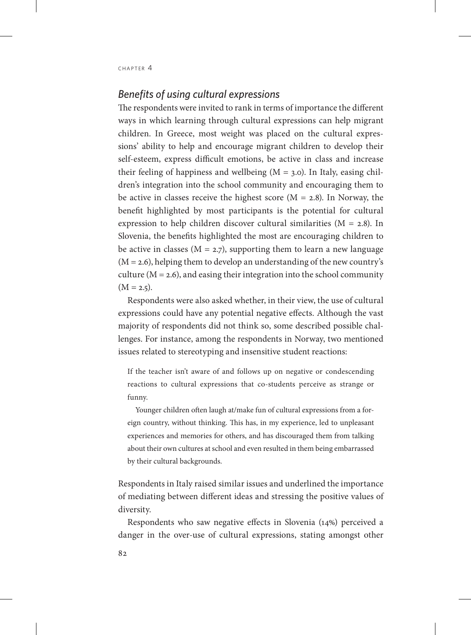#### *Benefits of using cultural expressions*

The respondents were invited to rank in terms of importance the different ways in which learning through cultural expressions can help migrant children. In Greece, most weight was placed on the cultural expressions' ability to help and encourage migrant children to develop their self-esteem, express difficult emotions, be active in class and increase their feeling of happiness and wellbeing  $(M = 3.0)$ . In Italy, easing children's integration into the school community and encouraging them to be active in classes receive the highest score  $(M = 2.8)$ . In Norway, the benefit highlighted by most participants is the potential for cultural expression to help children discover cultural similarities (M = 2.8). In Slovenia, the benefits highlighted the most are encouraging children to be active in classes ( $M = 2.7$ ), supporting them to learn a new language  $(M = 2.6)$ , helping them to develop an understanding of the new country's culture  $(M = 2.6)$ , and easing their integration into the school community  $(M = 2.5)$ .

Respondents were also asked whether, in their view, the use of cultural expressions could have any potential negative effects. Although the vast majority of respondents did not think so, some described possible challenges. For instance, among the respondents in Norway, two mentioned issues related to stereotyping and insensitive student reactions:

If the teacher isn't aware of and follows up on negative or condescending reactions to cultural expressions that co-students perceive as strange or funny.

Younger children often laugh at/make fun of cultural expressions from a foreign country, without thinking. This has, in my experience, led to unpleasant experiences and memories for others, and has discouraged them from talking about their own cultures at school and even resulted in them being embarrassed by their cultural backgrounds.

Respondents in Italy raised similar issues and underlined the importance of mediating between different ideas and stressing the positive values of diversity.

Respondents who saw negative effects in Slovenia (14%) perceived a danger in the over-use of cultural expressions, stating amongst other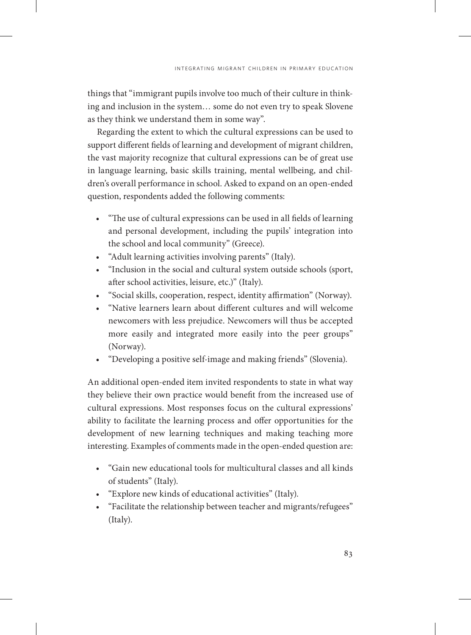things that "immigrant pupils involve too much of their culture in thinking and inclusion in the system… some do not even try to speak Slovene as they think we understand them in some way".

Regarding the extent to which the cultural expressions can be used to support different fields of learning and development of migrant children, the vast majority recognize that cultural expressions can be of great use in language learning, basic skills training, mental wellbeing, and children's overall performance in school. Asked to expand on an open-ended question, respondents added the following comments:

- "The use of cultural expressions can be used in all fields of learning and personal development, including the pupils' integration into the school and local community" (Greece).
- "Adult learning activities involving parents" (Italy).
- "Inclusion in the social and cultural system outside schools (sport, after school activities, leisure, etc.)" (Italy).
- "Social skills, cooperation, respect, identity affirmation" (Norway).
- "Native learners learn about different cultures and will welcome newcomers with less prejudice. Newcomers will thus be accepted more easily and integrated more easily into the peer groups" (Norway).
- "Developing a positive self-image and making friends" (Slovenia).

An additional open-ended item invited respondents to state in what way they believe their own practice would benefit from the increased use of cultural expressions. Most responses focus on the cultural expressions' ability to facilitate the learning process and offer opportunities for the development of new learning techniques and making teaching more interesting. Examples of comments made in the open-ended question are:

- "Gain new educational tools for multicultural classes and all kinds of students" (Italy).
- "Explore new kinds of educational activities" (Italy).
- "Facilitate the relationship between teacher and migrants/refugees" (Italy).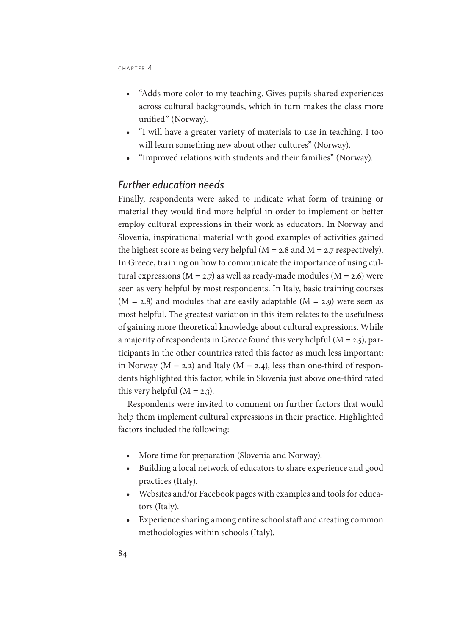- "Adds more color to my teaching. Gives pupils shared experiences across cultural backgrounds, which in turn makes the class more unified" (Norway).
- "I will have a greater variety of materials to use in teaching. I too will learn something new about other cultures" (Norway).
- "Improved relations with students and their families" (Norway).

#### *Further education needs*

Finally, respondents were asked to indicate what form of training or material they would find more helpful in order to implement or better employ cultural expressions in their work as educators. In Norway and Slovenia, inspirational material with good examples of activities gained the highest score as being very helpful ( $M = 2.8$  and  $M = 2.7$  respectively). In Greece, training on how to communicate the importance of using cultural expressions ( $M = 2.7$ ) as well as ready-made modules ( $M = 2.6$ ) were seen as very helpful by most respondents. In Italy, basic training courses  $(M = 2.8)$  and modules that are easily adaptable  $(M = 2.9)$  were seen as most helpful. The greatest variation in this item relates to the usefulness of gaining more theoretical knowledge about cultural expressions. While a majority of respondents in Greece found this very helpful (M = 2.5), participants in the other countries rated this factor as much less important: in Norway ( $M = 2.2$ ) and Italy ( $M = 2.4$ ), less than one-third of respondents highlighted this factor, while in Slovenia just above one-third rated this very helpful  $(M = 2.3)$ .

Respondents were invited to comment on further factors that would help them implement cultural expressions in their practice. Highlighted factors included the following:

- More time for preparation (Slovenia and Norway).
- Building a local network of educators to share experience and good practices (Italy).
- Websites and/or Facebook pages with examples and tools for educators (Italy).
- Experience sharing among entire school staff and creating common methodologies within schools (Italy).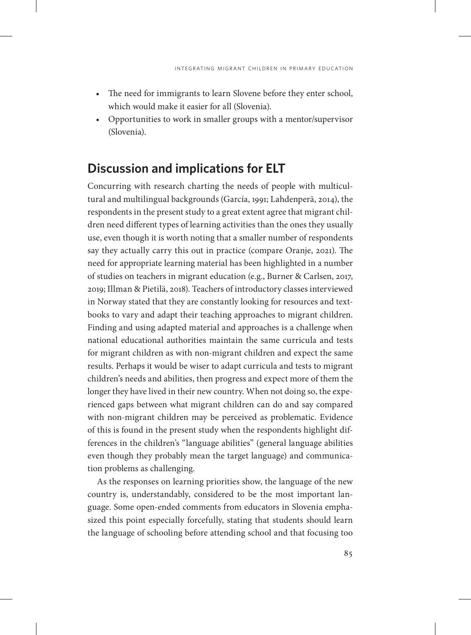- The need for immigrants to learn Slovene before they enter school, which would make it easier for all (Slovenia).
- Opportunities to work in smaller groups with a mentor/supervisor (Slovenia).

#### **Discussion and implications for ELT**

Concurring with research charting the needs of people with multicultural and multilingual backgrounds (García, 1991; Lahdenperä, 2014), the respondents in the present study to a great extent agree that migrant children need different types of learning activities than the ones they usually use, even though it is worth noting that a smaller number of respondents say they actually carry this out in practice (compare Oranje, 2021). The need for appropriate learning material has been highlighted in a number of studies on teachers in migrant education (e.g., Burner & Carlsen, 2017, 2019; Illman & Pietilä, 2018). Teachers of introductory classes interviewed in Norway stated that they are constantly looking for resources and textbooks to vary and adapt their teaching approaches to migrant children. Finding and using adapted material and approaches is a challenge when national educational authorities maintain the same curricula and tests for migrant children as with non-migrant children and expect the same results. Perhaps it would be wiser to adapt curricula and tests to migrant children's needs and abilities, then progress and expect more of them the longer they have lived in their new country. When not doing so, the experienced gaps between what migrant children can do and say compared with non-migrant children may be perceived as problematic. Evidence of this is found in the present study when the respondents highlight differences in the children's "language abilities" (general language abilities even though they probably mean the target language) and communication problems as challenging.

As the responses on learning priorities show, the language of the new country is, understandably, considered to be the most important language. Some open-ended comments from educators in Slovenia emphasized this point especially forcefully, stating that students should learn the language of schooling before attending school and that focusing too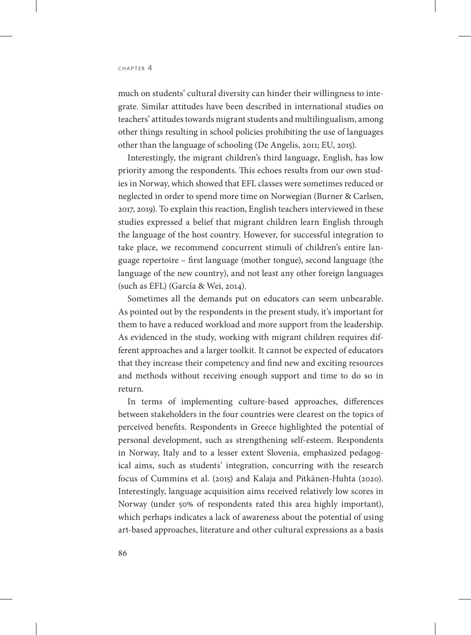much on students' cultural diversity can hinder their willingness to integrate. Similar attitudes have been described in international studies on teachers' attitudes towards migrant students and multilingualism, among other things resulting in school policies prohibiting the use of languages other than the language of schooling (De Angelis, 2011; EU, 2015).

Interestingly, the migrant children's third language, English, has low priority among the respondents. This echoes results from our own studies in Norway, which showed that EFL classes were sometimes reduced or neglected in order to spend more time on Norwegian (Burner & Carlsen, 2017, 2019). To explain this reaction, English teachers interviewed in these studies expressed a belief that migrant children learn English through the language of the host country. However, for successful integration to take place, we recommend concurrent stimuli of children's entire language repertoire – first language (mother tongue), second language (the language of the new country), and not least any other foreign languages (such as EFL) (García & Wei, 2014).

Sometimes all the demands put on educators can seem unbearable. As pointed out by the respondents in the present study, it's important for them to have a reduced workload and more support from the leadership. As evidenced in the study, working with migrant children requires different approaches and a larger toolkit. It cannot be expected of educators that they increase their competency and find new and exciting resources and methods without receiving enough support and time to do so in return.

In terms of implementing culture-based approaches, differences between stakeholders in the four countries were clearest on the topics of perceived benefits. Respondents in Greece highlighted the potential of personal development, such as strengthening self-esteem. Respondents in Norway, Italy and to a lesser extent Slovenia, emphasized pedagogical aims, such as students' integration, concurring with the research focus of Cummins et al. (2015) and Kalaja and Pitkänen-Huhta (2020). Interestingly, language acquisition aims received relatively low scores in Norway (under 50% of respondents rated this area highly important), which perhaps indicates a lack of awareness about the potential of using art-based approaches, literature and other cultural expressions as a basis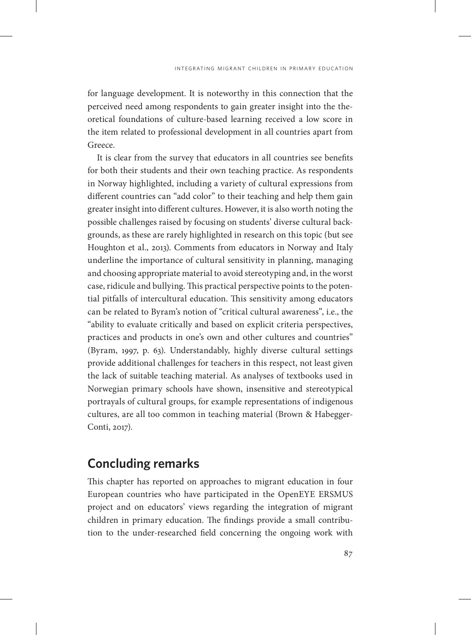for language development. It is noteworthy in this connection that the perceived need among respondents to gain greater insight into the theoretical foundations of culture-based learning received a low score in the item related to professional development in all countries apart from Greece.

It is clear from the survey that educators in all countries see benefits for both their students and their own teaching practice. As respondents in Norway highlighted, including a variety of cultural expressions from different countries can "add color" to their teaching and help them gain greater insight into different cultures. However, it is also worth noting the possible challenges raised by focusing on students' diverse cultural backgrounds, as these are rarely highlighted in research on this topic (but see Houghton et al., 2013). Comments from educators in Norway and Italy underline the importance of cultural sensitivity in planning, managing and choosing appropriate material to avoid stereotyping and, in the worst case, ridicule and bullying. This practical perspective points to the potential pitfalls of intercultural education. This sensitivity among educators can be related to Byram's notion of "critical cultural awareness", i.e., the "ability to evaluate critically and based on explicit criteria perspectives, practices and products in one's own and other cultures and countries" (Byram, 1997, p. 63). Understandably, highly diverse cultural settings provide additional challenges for teachers in this respect, not least given the lack of suitable teaching material. As analyses of textbooks used in Norwegian primary schools have shown, insensitive and stereotypical portrayals of cultural groups, for example representations of indigenous cultures, are all too common in teaching material (Brown & Habegger-Conti, 2017).

# **Concluding remarks**

This chapter has reported on approaches to migrant education in four European countries who have participated in the OpenEYE ERSMUS project and on educators' views regarding the integration of migrant children in primary education. The findings provide a small contribution to the under-researched field concerning the ongoing work with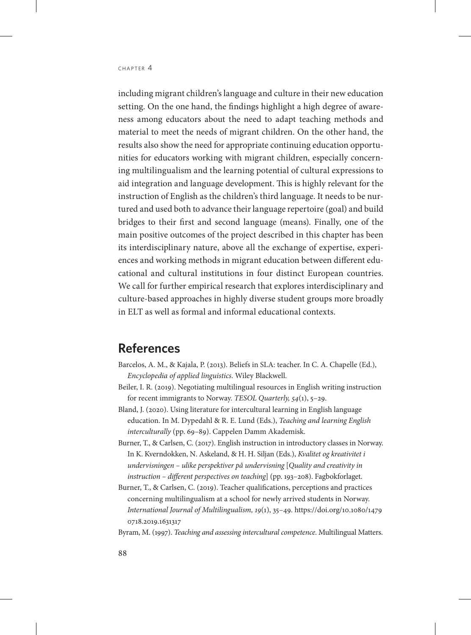including migrant children's language and culture in their new education setting. On the one hand, the findings highlight a high degree of awareness among educators about the need to adapt teaching methods and material to meet the needs of migrant children. On the other hand, the results also show the need for appropriate continuing education opportunities for educators working with migrant children, especially concerning multilingualism and the learning potential of cultural expressions to aid integration and language development. This is highly relevant for the instruction of English as the children's third language. It needs to be nurtured and used both to advance their language repertoire (goal) and build bridges to their first and second language (means). Finally, one of the main positive outcomes of the project described in this chapter has been its interdisciplinary nature, above all the exchange of expertise, experiences and working methods in migrant education between different educational and cultural institutions in four distinct European countries. We call for further empirical research that explores interdisciplinary and culture-based approaches in highly diverse student groups more broadly in ELT as well as formal and informal educational contexts.

#### **References**

- Barcelos, A. M., & Kajala, P. (2013). Beliefs in SLA: teacher. In C. A. Chapelle (Ed.), *Encyclopedia of applied linguistics*. Wiley Blackwell.
- Beiler, I. R. (2019). Negotiating multilingual resources in English writing instruction for recent immigrants to Norway. *TESOL Quarterly, 54*(1), 5–29.
- Bland, J. (2020). Using literature for intercultural learning in English language education. In M. Dypedahl & R. E. Lund (Eds.), *Teaching and learning English interculturally* (pp. 69–89). Cappelen Damm Akademisk.
- Burner, T., & Carlsen, C. (2017). English instruction in introductory classes in Norway. In K. Kverndokken, N. Askeland, & H. H. Siljan (Eds.), *Kvalitet og kreativitet i undervisningen – ulike perspektiver på undervisning* [*Quality and creativity in instruction – different perspectives on teaching*] (pp. 193–208). Fagbokforlaget.
- Burner, T., & Carlsen, C. (2019). [Teacher qualifications, perceptions and practices](https://www.tandfonline.com/eprint/g77UEERksJ2AG8Ht9PAF/full?target=10.1080%2F14790718.2019.1631317&fbclid=IwAR1UDOoQmlwhpxr8eko7A85LjNnCjO87ZIZUUjzKQiQANy6go8FWgCCagMo)  [concerning multilingualism at a school for newly arrived students in Norway.](https://www.tandfonline.com/eprint/g77UEERksJ2AG8Ht9PAF/full?target=10.1080%2F14790718.2019.1631317&fbclid=IwAR1UDOoQmlwhpxr8eko7A85LjNnCjO87ZIZUUjzKQiQANy6go8FWgCCagMo) *International Journal of Multilingualism, 19*(1), 35–49. [https://doi.org/10.1080/1479](https://doi.org/10.1080/14790718.2019.1631317) [0718.2019.1631317](https://doi.org/10.1080/14790718.2019.1631317)
- Byram, M. (1997). *Teaching and assessing intercultural competence*. Multilingual Matters.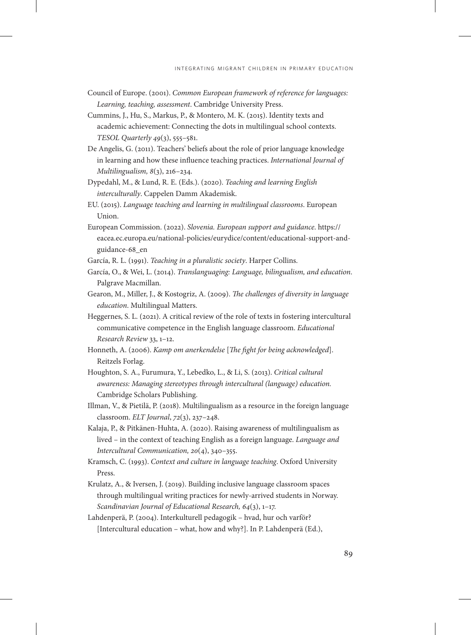- Council of Europe. (2001). *Common European framework of reference for languages: Learning, teaching, assessment*. Cambridge University Press.
- Cummins, J., Hu, S., Markus, P., & Montero, M. K. (2015). Identity texts and academic achievement: Connecting the dots in multilingual school contexts. *TESOL Quarterly 49*(3), 555–581.
- De Angelis, G. (2011). Teachers' beliefs about the role of prior language knowledge in learning and how these influence teaching practices. *International Journal of Multilingualism, 8*(3), 216–234.
- Dypedahl, M., & Lund, R. E. (Eds.). (2020). *Teaching and learning English interculturally*. Cappelen Damm Akademisk.
- EU. (2015). *Language teaching and learning in multilingual classrooms*. European Union.
- European Commission. (2022). *Slovenia. European support and guidance*. [https://](https://eacea.ec.europa.eu/national-policies/eurydice/content/educational-support-and-guidance-68_en) [eacea.ec.europa.eu/national-policies/eurydice/content/educational-support-and](https://eacea.ec.europa.eu/national-policies/eurydice/content/educational-support-and-guidance-68_en)[guidance-68\\_en](https://eacea.ec.europa.eu/national-policies/eurydice/content/educational-support-and-guidance-68_en)
- García, R. L. (1991). *Teaching in a pluralistic society*. Harper Collins.
- García, O., & Wei, L. (2014). *Translanguaging: Language, bilingualism, and education*. Palgrave Macmillan.
- Gearon, M., Miller, J., & Kostogriz, A. (2009). *The challenges of diversity in language education*. Multilingual Matters.
- [Heggernes, S. L.](https://www.oslomet.no/om/ansatt/silehe/) (2021). A critical review of the role of texts in fostering intercultural communicative competence in the English language classroom. *[Educational](http://www.sciencedirect.com/science/journal/1747938X)  [Research Review](http://www.sciencedirect.com/science/journal/1747938X)* 33, 1–12.
- Honneth, A. (2006). *Kamp om anerkendelse* [*The fight for being acknowledged*]. Reitzels Forlag.
- Houghton, S. A., Furumura, Y., Lebedko, L., & Li, S. (2013). *Critical cultural awareness: Managing stereotypes through intercultural (language) education.* Cambridge Scholars Publishing.
- Illman, V., & Pietilä, P. (2018). Multilingualism as a resource in the foreign language classroom. *ELT Journal*, *72*(3), 237–248.
- Kalaja, P., & Pitkänen-Huhta, A. (2020). Raising awareness of multilingualism as lived – in the context of teaching English as a foreign language. *Language and Intercultural Communication, 20*(4), 340–355.
- Kramsch, C. (1993). *Context and culture in language teaching*. Oxford University Press.
- Krulatz, A., & Iversen, J. (2019). Building inclusive language classroom spaces through multilingual writing practices for newly-arrived students in Norway. *Scandinavian Journal of Educational Research, 64*(3), 1–17.
- Lahdenperä, P. (2004). Interkulturell pedagogik hvad, hur och varför? [Intercultural education – what, how and why?]. In P. Lahdenperä (Ed.),